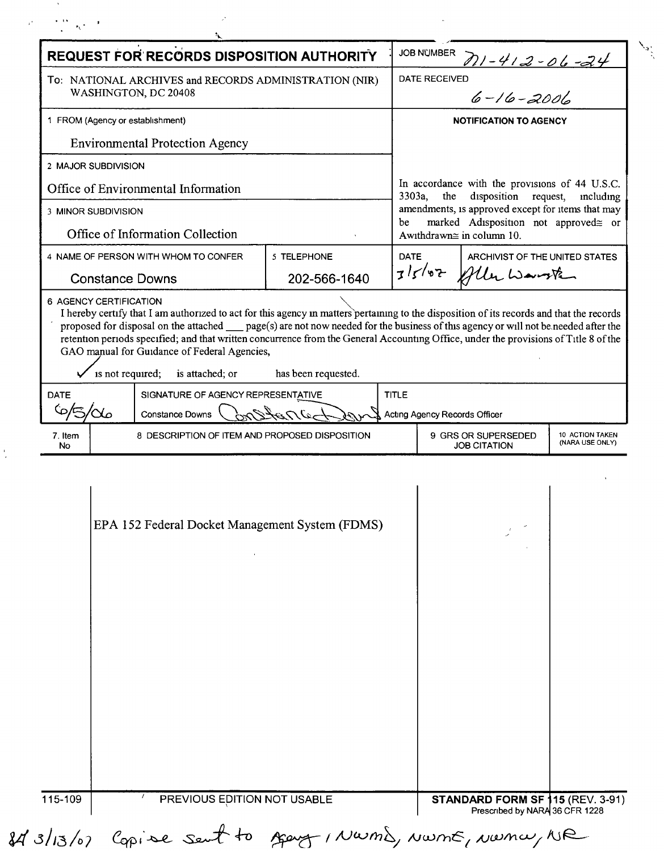| REQUEST FOR RECORDS DISPOSITION AUTHORITY              |                      |                                                                                                                                                                                                         |                     |                 | <b>JOB NUMBER</b><br>711-412-06-24                                                                                                                                                                |                                            |                                    |  |
|--------------------------------------------------------|----------------------|---------------------------------------------------------------------------------------------------------------------------------------------------------------------------------------------------------|---------------------|-----------------|---------------------------------------------------------------------------------------------------------------------------------------------------------------------------------------------------|--------------------------------------------|------------------------------------|--|
| To: NATIONAL ARCHIVES and RECORDS ADMINISTRATION (NIR) |                      |                                                                                                                                                                                                         |                     |                 | <b>DATE RECEIVED</b>                                                                                                                                                                              |                                            |                                    |  |
|                                                        | WASHINGTON, DC 20408 |                                                                                                                                                                                                         |                     | $6 - 16 - 2001$ |                                                                                                                                                                                                   |                                            |                                    |  |
| 1 FROM (Agency or establishment)                       |                      |                                                                                                                                                                                                         |                     |                 | <b>NOTIFICATION TO AGENCY</b>                                                                                                                                                                     |                                            |                                    |  |
| <b>Environmental Protection Agency</b>                 |                      |                                                                                                                                                                                                         |                     |                 |                                                                                                                                                                                                   |                                            |                                    |  |
|                                                        | 2 MAJOR SUBDIVISION  |                                                                                                                                                                                                         |                     |                 |                                                                                                                                                                                                   |                                            |                                    |  |
| Office of Environmental Information                    |                      |                                                                                                                                                                                                         |                     |                 | In accordance with the provisions of 44 U.S.C.<br>disposition request,<br>the<br>3303a,<br>including<br>amendments, is approved except for items that may<br>marked Adisposition not approved gor |                                            |                                    |  |
| 3 MINOR SUBDIVISION                                    |                      |                                                                                                                                                                                                         |                     |                 |                                                                                                                                                                                                   |                                            |                                    |  |
|                                                        |                      | Office of Information Collection                                                                                                                                                                        |                     | be              |                                                                                                                                                                                                   | Awithdrawn≅ in column 10.                  |                                    |  |
|                                                        |                      | 4 NAME OF PERSON WITH WHOM TO CONFER                                                                                                                                                                    | 5 TELEPHONE         |                 | <b>DATE</b><br>ARCHIVIST OF THE UNITED STATES                                                                                                                                                     |                                            |                                    |  |
| <b>Constance Downs</b>                                 |                      |                                                                                                                                                                                                         | 202-566-1640        |                 | 3/5/07 Alle Warste                                                                                                                                                                                |                                            |                                    |  |
|                                                        | is not required;     | retention periods specified; and that written concurrence from the General Accounting Office, under the provisions of Title 8 of the<br>GAO manual for Guidance of Federal Agencies,<br>is attached; or | has been requested. |                 |                                                                                                                                                                                                   |                                            |                                    |  |
| <b>DATE</b><br>6/5/<br>′αം                             |                      | SIGNATURE OF AGENCY REPRESENTATIVE<br><b>TITLE</b>                                                                                                                                                      |                     |                 |                                                                                                                                                                                                   |                                            |                                    |  |
|                                                        |                      | بتعدم لنعد<br>Constance Downs                                                                                                                                                                           |                     |                 |                                                                                                                                                                                                   | Acting Agency Records Officer              |                                    |  |
| 7. Item<br>No                                          |                      | 8 DESCRIPTION OF ITEM AND PROPOSED DISPOSITION                                                                                                                                                          |                     |                 |                                                                                                                                                                                                   | 9 GRS OR SUPERSEDED<br><b>JOB CITATION</b> | 10 ACTION TAKEN<br>(NARA USE ONLY) |  |
|                                                        |                      | EPA 152 Federal Docket Management System (FDMS)                                                                                                                                                         |                     |                 |                                                                                                                                                                                                   |                                            |                                    |  |
|                                                        |                      |                                                                                                                                                                                                         |                     |                 |                                                                                                                                                                                                   |                                            |                                    |  |

 $\mathcal{L}_{\mathbf{z}}$ 

 $\underset{\scriptscriptstyle{\text{conv}}}{\text{NWML}}$ 

 $\frac{\sum_{\mathbf{a}^{\prime}_{k}}}{\sum_{\mathbf{b}^{\prime}_{k}}}\mathbf{a}^{\prime}_{k}$ 

 $\mathcal{O}(\mathcal{N}^{\mathrm{max}})$ 

 $\frac{1}{4}$ 

 $\label{eq:2.1} \mathcal{P}_{\text{eff}}^{(1)} = \frac{1}{\sqrt{2}} \frac{\Delta \mathbf{v}}{\mathbf{v}} \left[ \mathbf{v}_{\text{R}} \mathbf{v} - \mathbf{F} \right] \quad ,$ 

 $\hat{\mathcal{P}}$ 

 $t_{\rm K}$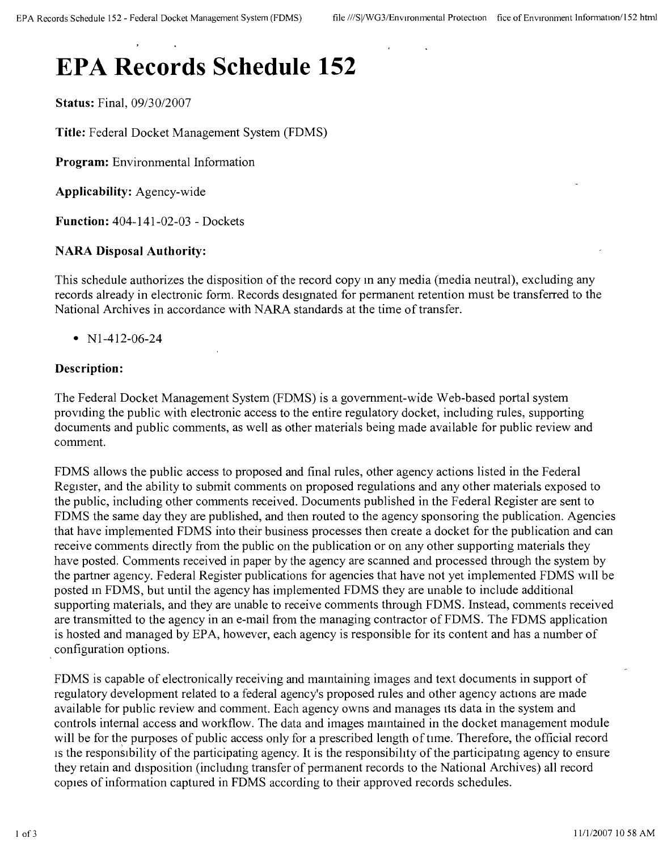# **EPA Records Schedule 152**

**Status:** Final, *09/30/2007*

**Title:** Federal Docket Management System (FDMS)

**Program:** Environmental Information

**Applicability:** Agency-wide

**Function:** 404-141-02-03 - Dockets

## **NARA Disposal Authority:**

This schedule authorizes the disposition of the record copy m any media (media neutral), excluding any records already in electronic form. Records designated for permanent retention must be transferred to the National Archives in accordance with NARA standards at the time of transfer.

• N<sub>1</sub>-412-06-24

## **Description:**

The Federal Docket Management System (FDMS) is a government-wide Web-based portal system providing the public with electronic access to the entire regulatory docket, including rules, supporting documents and public comments, as well as other materials being made available for public review and comment.

FDMS allows the public access to proposed and final rules, other agency actions listed in the Federal Register, and the ability to submit comments on proposed regulations and any other materials exposed to the public, including other comments received. Documents published in the Federal Register are sent to FDMS the same day they are published, and then routed to the agency sponsoring the publication. Agencies that have implemented FDMS into their business processes then create a docket for the publication and can receive comments directly from the public on the publication or on any other supporting materials they have posted. Comments received in paper by the agency are scanned and processed through the system by the partner agency. Federal Register publications for agencies that have not yet implemented FDMS WIll be posted m FDMS, but until the agency has implemented FDMS they are unable to include additional supporting materials, and they are unable to receive comments through FDMS. Instead, comments received are transmitted to the agency in an e-mail from the managing contractor of FDMS. The FDMS application is hosted and managed by EPA, however, each agency is responsible for its content and has a number of configuration options.

FDMS is capable of electronically receiving and mamtaining images and text documents in support of regulatory development related to a federal agency's proposed rules and other agency actions are made available for public review and comment. Each agency owns and manages Its data in the system and controls internal access and workflow. The data and images mamtained in the docket management module will be for the purposes of public access only for a prescribed length of time. Therefore, the official record Is the responsibility of the participating agency. It is the responsibility of the participating agency to ensure they retain and disposition (includmg transfer of permanent records to the National Archives) all record copies of information captured in FDMS according to their approved records schedules.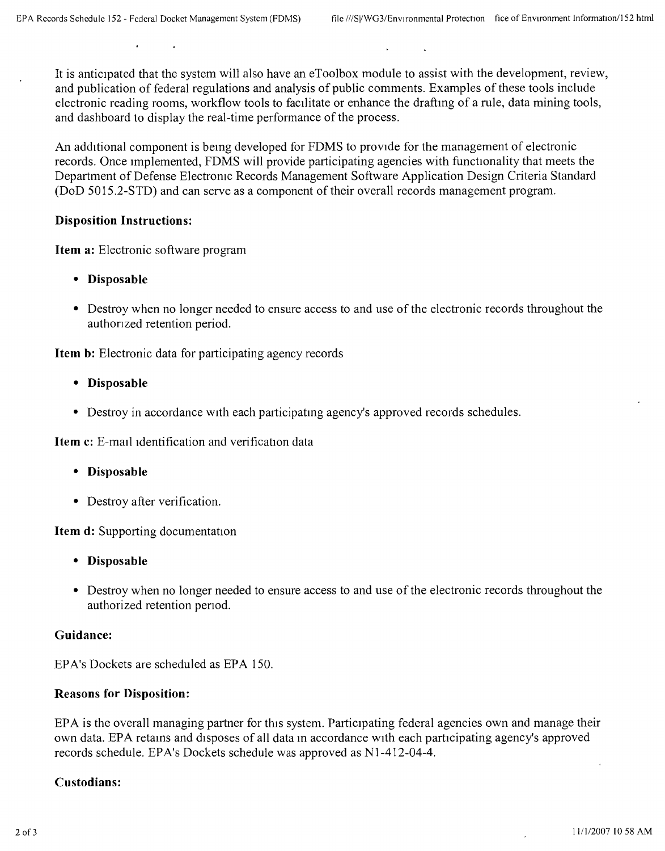It is anticipated that the system will also have an eToolbox module to assist with the development, review, and publication of federal regulations and analysis of public comments. Examples of these tools include electronic reading rooms, workflow tools to facilitate or enhance the drafting of a rule, data mining tools, and dashboard to display the real-time performance of the process.

An additional component is bemg developed for FDMS to provide for the management of electronic records. Once implemented, FDMS will provide participating agencies with functionality that meets the Department of Defense Electronic Records Management Software Application Design Criteria Standard (DoD 5015.2-STD) and can serve as a component of their overall records management program.

#### **Disposition Instructions:**

**Item a:** Electronic software program

- **Disposable**
- Destroy when no longer needed to ensure access to and use of the electronic records throughout the authonzed retention period.

**Item b:** Electronic data for participating agency records

- **Disposable**
- Destroy in accordance with each participating agency's approved records schedules.

**Item c:** E-mail identification and verification data

- **Disposable**
- Destroy after verification.

**Item d:** Supporting documentation

- **Disposable**
- Destroy when no longer needed to ensure access to and use of the electronic records throughout the authorized retention penod.

#### **Guidance:**

EPA's Dockets are scheduled as EPA 150.

#### **Reasons for Disposition:**

EPA is the overall managing partner for this system. Participating federal agencies own and manage their own data. EPA retains and disposes of all data in accordance with each participating agency's approved records schedule. EPA's Dockets schedule was approved as Nl-412-04-4.

#### **Custodians:**